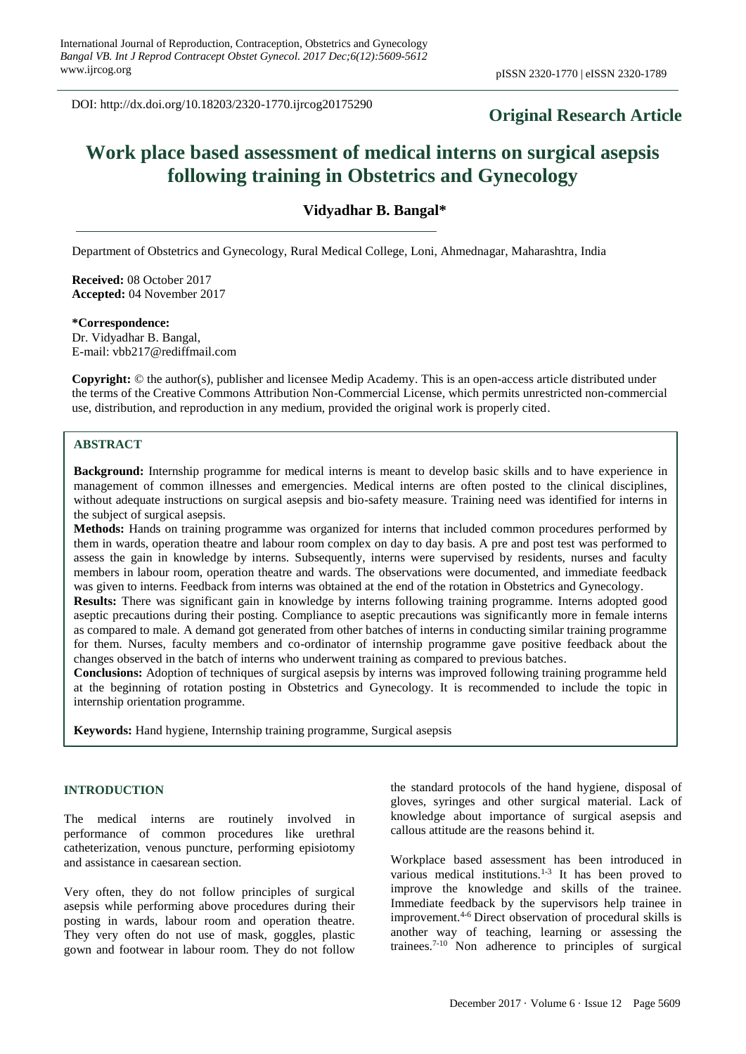DOI: http://dx.doi.org/10.18203/2320-1770.ijrcog20175290

# **Original Research Article**

# **Work place based assessment of medical interns on surgical asepsis following training in Obstetrics and Gynecology**

**Vidyadhar B. Bangal\***

Department of Obstetrics and Gynecology, Rural Medical College, Loni, Ahmednagar, Maharashtra, India

**Received:** 08 October 2017 **Accepted:** 04 November 2017

**\*Correspondence:** Dr. Vidyadhar B. Bangal, E-mail: vbb217@rediffmail.com

**Copyright:** © the author(s), publisher and licensee Medip Academy. This is an open-access article distributed under the terms of the Creative Commons Attribution Non-Commercial License, which permits unrestricted non-commercial use, distribution, and reproduction in any medium, provided the original work is properly cited.

## **ABSTRACT**

**Background:** Internship programme for medical interns is meant to develop basic skills and to have experience in management of common illnesses and emergencies. Medical interns are often posted to the clinical disciplines, without adequate instructions on surgical asepsis and bio-safety measure. Training need was identified for interns in the subject of surgical asepsis.

**Methods:** Hands on training programme was organized for interns that included common procedures performed by them in wards, operation theatre and labour room complex on day to day basis. A pre and post test was performed to assess the gain in knowledge by interns. Subsequently, interns were supervised by residents, nurses and faculty members in labour room, operation theatre and wards. The observations were documented, and immediate feedback was given to interns. Feedback from interns was obtained at the end of the rotation in Obstetrics and Gynecology.

**Results:** There was significant gain in knowledge by interns following training programme. Interns adopted good aseptic precautions during their posting. Compliance to aseptic precautions was significantly more in female interns as compared to male. A demand got generated from other batches of interns in conducting similar training programme for them. Nurses, faculty members and co-ordinator of internship programme gave positive feedback about the changes observed in the batch of interns who underwent training as compared to previous batches.

**Conclusions:** Adoption of techniques of surgical asepsis by interns was improved following training programme held at the beginning of rotation posting in Obstetrics and Gynecology. It is recommended to include the topic in internship orientation programme.

**Keywords:** Hand hygiene, Internship training programme, Surgical asepsis

#### **INTRODUCTION**

The medical interns are routinely involved in performance of common procedures like urethral catheterization, venous puncture, performing episiotomy and assistance in caesarean section.

Very often, they do not follow principles of surgical asepsis while performing above procedures during their posting in wards, labour room and operation theatre. They very often do not use of mask, goggles, plastic gown and footwear in labour room. They do not follow

the standard protocols of the hand hygiene, disposal of gloves, syringes and other surgical material. Lack of knowledge about importance of surgical asepsis and callous attitude are the reasons behind it.

Workplace based assessment has been introduced in various medical institutions.<sup>1-3</sup> It has been proved to improve the knowledge and skills of the trainee. Immediate feedback by the supervisors help trainee in improvement.4-6 Direct observation of procedural skills is another way of teaching, learning or assessing the trainees.7-10 Non adherence to principles of surgical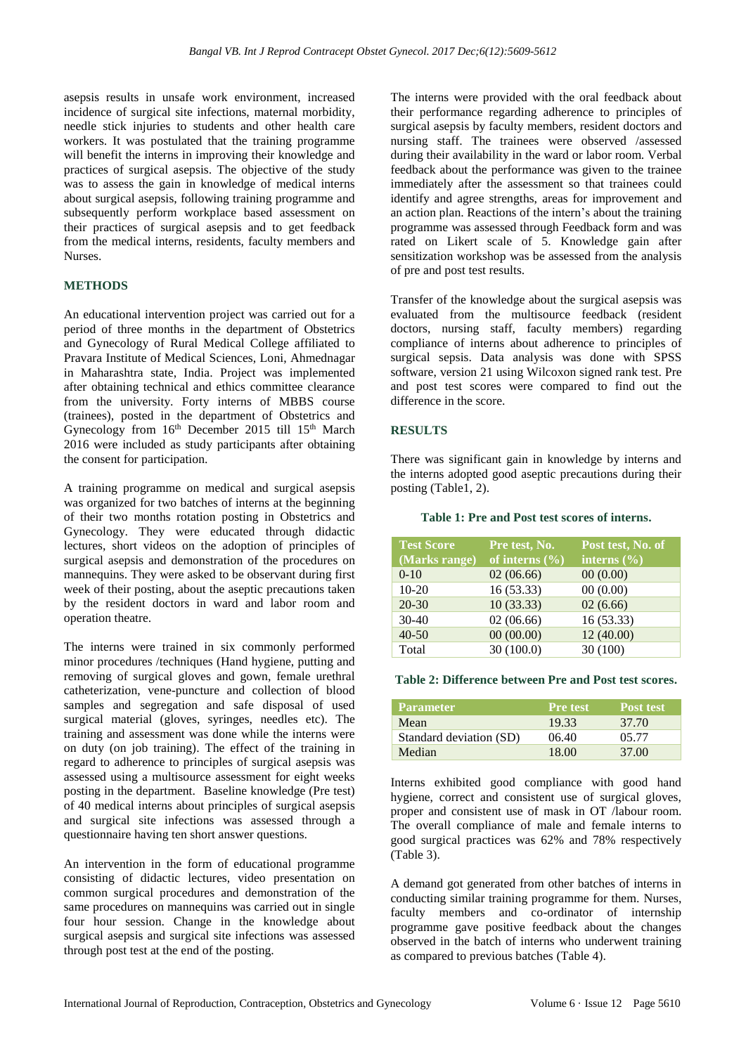asepsis results in unsafe work environment, increased incidence of surgical site infections, maternal morbidity, needle stick injuries to students and other health care workers. It was postulated that the training programme will benefit the interns in improving their knowledge and practices of surgical asepsis. The objective of the study was to assess the gain in knowledge of medical interns about surgical asepsis, following training programme and subsequently perform workplace based assessment on their practices of surgical asepsis and to get feedback from the medical interns, residents, faculty members and Nurses.

#### **METHODS**

An educational intervention project was carried out for a period of three months in the department of Obstetrics and Gynecology of Rural Medical College affiliated to Pravara Institute of Medical Sciences, Loni, Ahmednagar in Maharashtra state, India. Project was implemented after obtaining technical and ethics committee clearance from the university. Forty interns of MBBS course (trainees), posted in the department of Obstetrics and Gynecology from 16th December 2015 till 15th March 2016 were included as study participants after obtaining the consent for participation.

A training programme on medical and surgical asepsis was organized for two batches of interns at the beginning of their two months rotation posting in Obstetrics and Gynecology. They were educated through didactic lectures, short videos on the adoption of principles of surgical asepsis and demonstration of the procedures on mannequins. They were asked to be observant during first week of their posting, about the aseptic precautions taken by the resident doctors in ward and labor room and operation theatre.

The interns were trained in six commonly performed minor procedures /techniques (Hand hygiene, putting and removing of surgical gloves and gown, female urethral catheterization, vene-puncture and collection of blood samples and segregation and safe disposal of used surgical material (gloves, syringes, needles etc). The training and assessment was done while the interns were on duty (on job training). The effect of the training in regard to adherence to principles of surgical asepsis was assessed using a multisource assessment for eight weeks posting in the department. Baseline knowledge (Pre test) of 40 medical interns about principles of surgical asepsis and surgical site infections was assessed through a questionnaire having ten short answer questions.

An intervention in the form of educational programme consisting of didactic lectures, video presentation on common surgical procedures and demonstration of the same procedures on mannequins was carried out in single four hour session. Change in the knowledge about surgical asepsis and surgical site infections was assessed through post test at the end of the posting.

The interns were provided with the oral feedback about their performance regarding adherence to principles of surgical asepsis by faculty members, resident doctors and nursing staff. The trainees were observed /assessed during their availability in the ward or labor room. Verbal feedback about the performance was given to the trainee immediately after the assessment so that trainees could identify and agree strengths, areas for improvement and an action plan. Reactions of the intern's about the training programme was assessed through Feedback form and was rated on Likert scale of 5. Knowledge gain after sensitization workshop was be assessed from the analysis of pre and post test results.

Transfer of the knowledge about the surgical asepsis was evaluated from the multisource feedback (resident doctors, nursing staff, faculty members) regarding compliance of interns about adherence to principles of surgical sepsis. Data analysis was done with SPSS software, version 21 using Wilcoxon signed rank test. Pre and post test scores were compared to find out the difference in the score.

#### **RESULTS**

There was significant gain in knowledge by interns and the interns adopted good aseptic precautions during their posting (Table1, 2).

#### **Table 1: Pre and Post test scores of interns.**

| <b>Test Score</b><br>(Marks range) | Pre test, No.<br>of interns $(\% )$ | Post test, No. of<br>interns $(\overline{\frac{9}{6}})$ |
|------------------------------------|-------------------------------------|---------------------------------------------------------|
| $0 - 10$                           | 02(06.66)                           | 00(0.00)                                                |
| $10-20$                            | 16 (53.33)                          | 00(0.00)                                                |
| $20 - 30$                          | 10(33.33)                           | 02(6.66)                                                |
| $30-40$                            | 02(06.66)                           | 16 (53.33)                                              |
| $40 - 50$                          | 00(00.00)                           | 12(40.00)                                               |
| Total                              | 30(100.0)                           | 30(100)                                                 |

#### **Table 2: Difference between Pre and Post test scores.**

| <b>Parameter</b>        | <b>Pre</b> test | <b>Post test</b> |
|-------------------------|-----------------|------------------|
| Mean                    | 19.33           | 37.70            |
| Standard deviation (SD) | 06.40           | 05.77            |
| Median                  | 18.00           | 37.00            |

Interns exhibited good compliance with good hand hygiene, correct and consistent use of surgical gloves, proper and consistent use of mask in OT /labour room. The overall compliance of male and female interns to good surgical practices was 62% and 78% respectively (Table 3).

A demand got generated from other batches of interns in conducting similar training programme for them. Nurses, faculty members and co-ordinator of internship programme gave positive feedback about the changes observed in the batch of interns who underwent training as compared to previous batches (Table 4).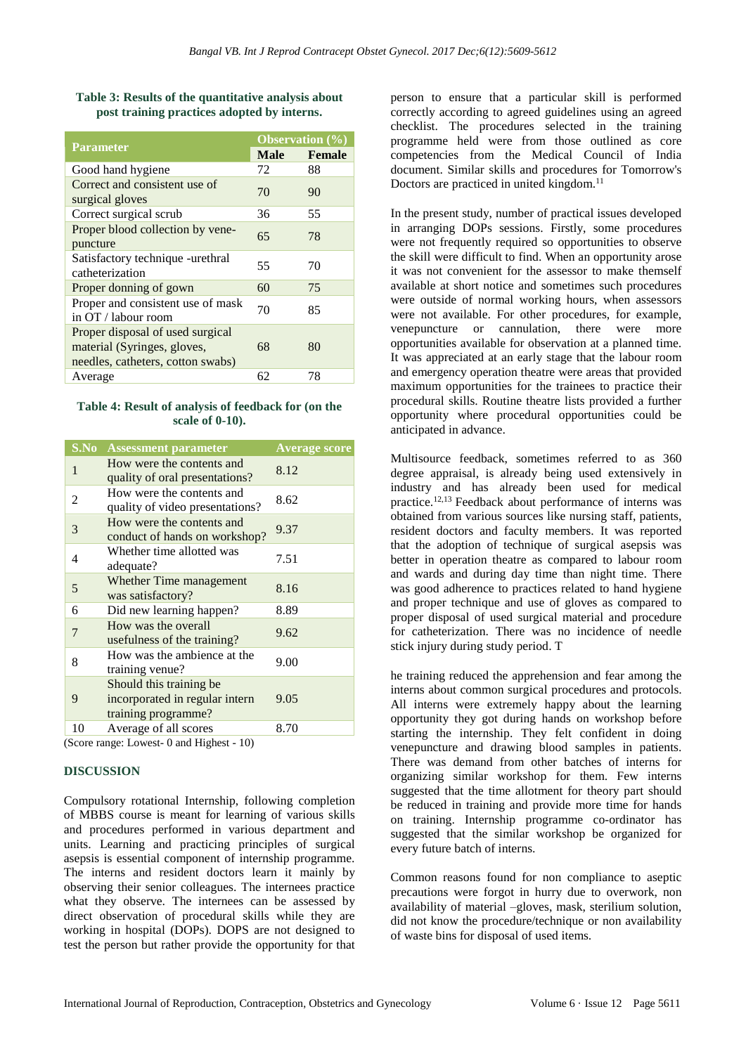|                                                                                                      | <b>Observation</b> $(\% )$ |               |
|------------------------------------------------------------------------------------------------------|----------------------------|---------------|
| <b>Parameter</b>                                                                                     | <b>Male</b>                | <b>Female</b> |
| Good hand hygiene                                                                                    | 72                         | 88            |
| Correct and consistent use of<br>surgical gloves                                                     | 70                         | 90            |
| Correct surgical scrub                                                                               | 36                         | 55            |
| Proper blood collection by vene-<br>puncture                                                         | 65                         | 78            |
| Satisfactory technique -urethral<br>catheterization                                                  | 55                         | 70            |
| Proper donning of gown                                                                               | 60                         | 75            |
| Proper and consistent use of mask<br>in OT / labour room                                             | 70                         | 85            |
| Proper disposal of used surgical<br>material (Syringes, gloves,<br>needles, catheters, cotton swabs) | 68                         | 80            |
| Average                                                                                              | 62                         | 78            |

### **Table 3: Results of the quantitative analysis about post training practices adopted by interns.**

#### **Table 4: Result of analysis of feedback for (on the scale of 0-10).**

| S.No<br><b>Assessment parameter</b>                                                   | <b>Average score</b> |
|---------------------------------------------------------------------------------------|----------------------|
| How were the contents and<br>1<br>quality of oral presentations?                      | 8.12                 |
| How were the contents and<br>2<br>quality of video presentations?                     | 8.62                 |
| How were the contents and<br>3<br>conduct of hands on workshop?                       | 9.37                 |
| Whether time allotted was<br>4<br>adequate?                                           | 7.51                 |
| Whether Time management<br>5<br>was satisfactory?                                     | 8.16                 |
| 6<br>Did new learning happen?                                                         | 8.89                 |
| How was the overall<br>7<br>usefulness of the training?                               | 9.62                 |
| How was the ambience at the<br>8<br>training venue?                                   | 9.00                 |
| Should this training be<br>9<br>incorporated in regular intern<br>training programme? | 9.05                 |
| Average of all scores<br>10                                                           | 8.70                 |

(Score range: Lowest- 0 and Highest - 10)

#### **DISCUSSION**

Compulsory rotational Internship, following completion of MBBS course is meant for learning of various skills and procedures performed in various department and units. Learning and practicing principles of surgical asepsis is essential component of internship programme. The interns and resident doctors learn it mainly by observing their senior colleagues. The internees practice what they observe. The internees can be assessed by direct observation of procedural skills while they are working in hospital (DOPs). DOPS are not designed to test the person but rather provide the opportunity for that person to ensure that a particular skill is performed correctly according to agreed guidelines using an agreed checklist. The procedures selected in the training programme held were from those outlined as core competencies from the Medical Council of India document. Similar skills and procedures for Tomorrow's Doctors are practiced in united kingdom.<sup>11</sup>

In the present study, number of practical issues developed in arranging DOPs sessions. Firstly, some procedures were not frequently required so opportunities to observe the skill were difficult to find. When an opportunity arose it was not convenient for the assessor to make themself available at short notice and sometimes such procedures were outside of normal working hours, when assessors were not available. For other procedures, for example, venepuncture or cannulation, there were more opportunities available for observation at a planned time. It was appreciated at an early stage that the labour room and emergency operation theatre were areas that provided maximum opportunities for the trainees to practice their procedural skills. Routine theatre lists provided a further opportunity where procedural opportunities could be anticipated in advance.

Multisource feedback, sometimes referred to as 360 degree appraisal, is already being used extensively in industry and has already been used for medical practice.12,13 Feedback about performance of interns was obtained from various sources like nursing staff, patients, resident doctors and faculty members. It was reported that the adoption of technique of surgical asepsis was better in operation theatre as compared to labour room and wards and during day time than night time. There was good adherence to practices related to hand hygiene and proper technique and use of gloves as compared to proper disposal of used surgical material and procedure for catheterization. There was no incidence of needle stick injury during study period. T

he training reduced the apprehension and fear among the interns about common surgical procedures and protocols. All interns were extremely happy about the learning opportunity they got during hands on workshop before starting the internship. They felt confident in doing venepuncture and drawing blood samples in patients. There was demand from other batches of interns for organizing similar workshop for them. Few interns suggested that the time allotment for theory part should be reduced in training and provide more time for hands on training. Internship programme co-ordinator has suggested that the similar workshop be organized for every future batch of interns.

Common reasons found for non compliance to aseptic precautions were forgot in hurry due to overwork, non availability of material –gloves, mask, sterilium solution, did not know the procedure/technique or non availability of waste bins for disposal of used items.